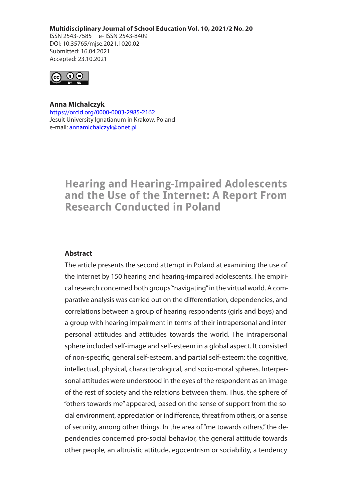**Multidisciplinary Journal of School Education Vol. 10, 2021/2 No. 20**

ISSN 2543-7585 e- ISSN 2543-8409 DOI: 10.35765/mjse.2021.1020.02 Submitted: 16.04.2021 Accepted: 23.10.2021



**Anna Michalczyk** https://orcid.org/0000-0003-2985-2162 Jesuit University Ignatianum in Krakow, Poland e-mail: annamichalczyk@onet.pl

# **Hearing and Hearing-Impaired Adolescents** and the Use of the Internet: A Report From **Research Conducted in Poland**

## **Abstract**

The article presents the second attempt in Poland at examining the use of the Internet by 150 hearing and hearing-impaired adolescents. The empirical research concerned both groups'"navigating" in the virtual world. A comparative analysis was carried out on the differentiation, dependencies, and correlations between a group of hearing respondents (girls and boys) and a group with hearing impairment in terms of their intrapersonal and interpersonal attitudes and attitudes towards the world. The intrapersonal sphere included self-image and self-esteem in a global aspect. It consisted of non-specific, general self-esteem, and partial self-esteem: the cognitive, intellectual, physical, characterological, and socio-moral spheres. Interpersonal attitudes were understood in the eyes of the respondent as an image of the rest of society and the relations between them. Thus, the sphere of "others towards me" appeared, based on the sense of support from the social environment, appreciation or indifference, threat from others, or a sense of security, among other things. In the area of "me towards others," the dependencies concerned pro-social behavior, the general attitude towards other people, an altruistic attitude, egocentrism or sociability, a tendency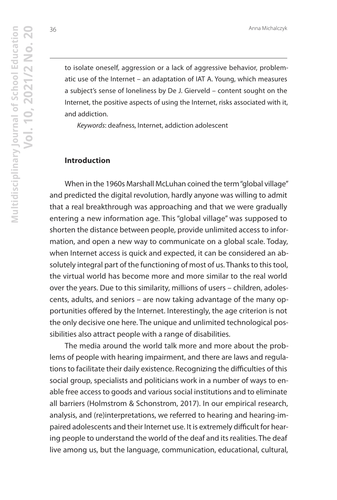to isolate oneself, aggression or a lack of aggressive behavior, problematic use of the Internet – an adaptation of IAT A. Young, which measures a subject's sense of loneliness by De J. Gierveld – content sought on the Internet, the positive aspects of using the Internet, risks associated with it, and addiction.

Keywords: deafness, Internet, addiction adolescent

## **Introduction**

When in the 1960s Marshall McLuhan coined the term "global village" and predicted the digital revolution, hardly anyone was willing to admit that a real breakthrough was approaching and that we were gradually entering a new information age. This "global village" was supposed to shorten the distance between people, provide unlimited access to information, and open a new way to communicate on a global scale. Today, when Internet access is quick and expected, it can be considered an absolutely integral part of the functioning of most of us. Thanks to this tool, the virtual world has become more and more similar to the real world over the years. Due to this similarity, millions of users – children, adolescents, adults, and seniors – are now taking advantage of the many opportunities offered by the Internet. Interestingly, the age criterion is not the only decisive one here. The unique and unlimited technological possibilities also attract people with a range of disabilities.

The media around the world talk more and more about the problems of people with hearing impairment, and there are laws and regulations to facilitate their daily existence. Recognizing the difficulties of this social group, specialists and politicians work in a number of ways to enable free access to goods and various social institutions and to eliminate all barriers (Holmstrom & Schonstrom, 2017). In our empirical research, analysis, and (re)interpretations, we referred to hearing and hearing-impaired adolescents and their Internet use. It is extremely difficult for hearing people to understand the world of the deaf and its realities. The deaf live among us, but the language, communication, educational, cultural,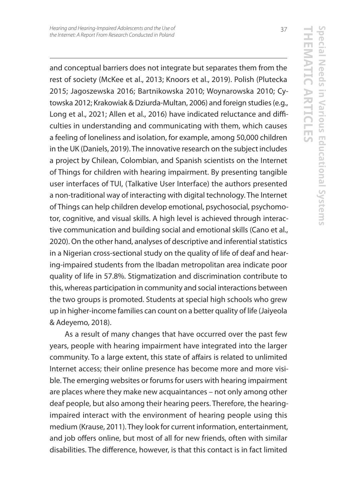and conceptual barriers does not integrate but separates them from the rest of society (McKee et al., 2013; Knoors et al., 2019). Polish (Plutecka 2015; Jagoszewska 2016; Bartnikowska 2010; Woynarowska 2010; Cytowska 2012; Krakowiak & Dziurda-Multan, 2006) and foreign studies (e.g., Long et al., 2021; Allen et al., 2016) have indicated reluctance and difficulties in understanding and communicating with them, which causes a feeling of loneliness and isolation, for example, among 50,000 children in the UK (Daniels, 2019). The innovative research on the subject includes a project by Chilean, Colombian, and Spanish scientists on the Internet of Things for children with hearing impairment. By presenting tangible user interfaces of TUI, (Talkative User Interface) the authors presented a non-traditional way of interacting with digital technology. The Internet of Things can help children develop emotional, psychosocial, psychomotor, cognitive, and visual skills. A high level is achieved through interactive communication and building social and emotional skills (Cano et al., 2020). On the other hand, analyses of descriptive and inferential statistics in a Nigerian cross-sectional study on the quality of life of deaf and hearing-impaired students from the Ibadan metropolitan area indicate poor quality of life in 57.8%. Stigmatization and discrimination contribute to this, whereas participation in community and social interactions between the two groups is promoted. Students at special high schools who grew up in higher-income families can count on a better quality of life (Jaiyeola & Adeyemo, 2018).

As a result of many changes that have occurred over the past few years, people with hearing impairment have integrated into the larger community. To a large extent, this state of affairs is related to unlimited Internet access; their online presence has become more and more visible. The emerging websites or forums for users with hearing impairment are places where they make new acquaintances – not only among other deaf people, but also among their hearing peers. Therefore, the hearingimpaired interact with the environment of hearing people using this medium (Krause, 2011). They look for current information, entertainment, and job offers online, but most of all for new friends, often with similar disabilities. The difference, however, is that this contact is in fact limited

37

**THEMATIC ARTICLES**

**Special Needs in Various Educational Systems**

pecial Needs in Various Educational Systems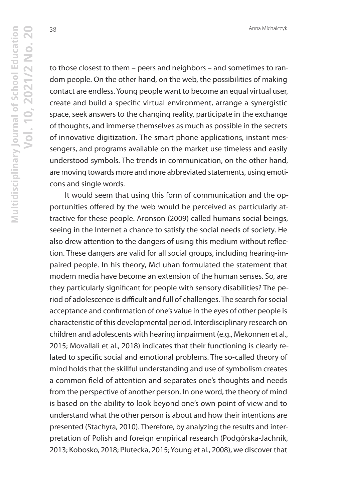Anna Michalczyk

38

to those closest to them – peers and neighbors – and sometimes to random people. On the other hand, on the web, the possibilities of making contact are endless. Young people want to become an equal virtual user, create and build a specific virtual environment, arrange a synergistic space, seek answers to the changing reality, participate in the exchange of thoughts, and immerse themselves as much as possible in the secrets of innovative digitization. The smart phone applications, instant messengers, and programs available on the market use timeless and easily understood symbols. The trends in communication, on the other hand, are moving towards more and more abbreviated statements, using emoticons and single words.

It would seem that using this form of communication and the opportunities offered by the web would be perceived as particularly attractive for these people. Aronson (2009) called humans social beings, seeing in the Internet a chance to satisfy the social needs of society. He also drew attention to the dangers of using this medium without reflection. These dangers are valid for all social groups, including hearing-impaired people. In his theory, McLuhan formulated the statement that modern media have become an extension of the human senses. So, are they particularly significant for people with sensory disabilities? The period of adolescence is difficult and full of challenges. The search for social acceptance and confirmation of one's value in the eyes of other people is characteristic of this developmental period. Interdisciplinary research on children and adolescents with hearing impairment (e.g., Mekonnen et al., 2015; Movallali et al., 2018) indicates that their functioning is clearly related to specific social and emotional problems. The so-called theory of mind holds that the skillful understanding and use of symbolism creates a common field of attention and separates one's thoughts and needs from the perspective of another person. In one word, the theory of mind is based on the ability to look beyond one's own point of view and to understand what the other person is about and how their intentions are presented (Stachyra, 2010). Therefore, by analyzing the results and interpretation of Polish and foreign empirical research (Podgórska-Jachnik, 2013; Kobosko, 2018; Plutecka, 2015; Young et al., 2008), we discover that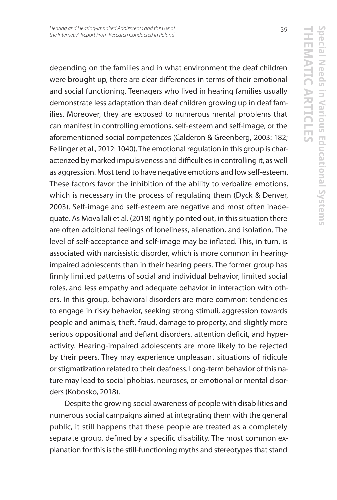**THEMATIC ARTICLES**

**Special Needs in Various Educational Systems**

pecial Needs in Various Educational Systems

depending on the families and in what environment the deaf children were brought up, there are clear differences in terms of their emotional and social functioning. Teenagers who lived in hearing families usually demonstrate less adaptation than deaf children growing up in deaf families. Moreover, they are exposed to numerous mental problems that can manifest in controlling emotions, self-esteem and self-image, or the aforementioned social competences (Calderon & Greenberg, 2003: 182; Fellinger et al., 2012: 1040). The emotional regulation in this group is characterized by marked impulsiveness and difficulties in controlling it, as well as aggression. Most tend to have negative emotions and low self-esteem. These factors favor the inhibition of the ability to verbalize emotions, which is necessary in the process of regulating them (Dyck & Denver, 2003). Self-image and self-esteem are negative and most often inadequate. As Movallali et al. (2018) rightly pointed out, in this situation there are often additional feelings of loneliness, alienation, and isolation. The level of self-acceptance and self-image may be inflated. This, in turn, is associated with narcissistic disorder, which is more common in hearingimpaired adolescents than in their hearing peers. The former group has firmly limited patterns of social and individual behavior, limited social roles, and less empathy and adequate behavior in interaction with others. In this group, behavioral disorders are more common: tendencies to engage in risky behavior, seeking strong stimuli, aggression towards people and animals, theft, fraud, damage to property, and slightly more serious oppositional and defiant disorders, attention deficit, and hyperactivity. Hearing-impaired adolescents are more likely to be rejected by their peers. They may experience unpleasant situations of ridicule or stigmatization related to their deafness. Long-term behavior of this nature may lead to social phobias, neuroses, or emotional or mental disorders (Kobosko, 2018).

Despite the growing social awareness of people with disabilities and numerous social campaigns aimed at integrating them with the general public, it still happens that these people are treated as a completely separate group, defined by a specific disability. The most common explanation for this is the still-functioning myths and stereotypes that stand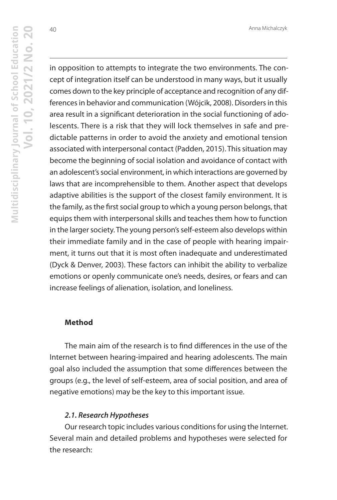in opposition to attempts to integrate the two environments. The concept of integration itself can be understood in many ways, but it usually comes down to the key principle of acceptance and recognition of any differences in behavior and communication (Wójcik, 2008). Disorders in this area result in a significant deterioration in the social functioning of adolescents. There is a risk that they will lock themselves in safe and predictable patterns in order to avoid the anxiety and emotional tension associated with interpersonal contact (Padden, 2015). This situation may become the beginning of social isolation and avoidance of contact with an adolescent's social environment, in which interactions are governed by laws that are incomprehensible to them. Another aspect that develops adaptive abilities is the support of the closest family environment. It is the family, as the first social group to which a young person belongs, that equips them with interpersonal skills and teaches them how to function in the larger society. The young person's self-esteem also develops within their immediate family and in the case of people with hearing impairment, it turns out that it is most often inadequate and underestimated (Dyck & Denver, 2003). These factors can inhibit the ability to verbalize emotions or openly communicate one's needs, desires, or fears and can increase feelings of alienation, isolation, and loneliness.

## **Method**

The main aim of the research is to find differences in the use of the Internet between hearing-impaired and hearing adolescents. The main goal also included the assumption that some differences between the groups (e.g., the level of self-esteem, area of social position, and area of negative emotions) may be the key to this important issue.

#### *2.1. Research Hypotheses*

Our research topic includes various conditions for using the Internet. Several main and detailed problems and hypotheses were selected for the research: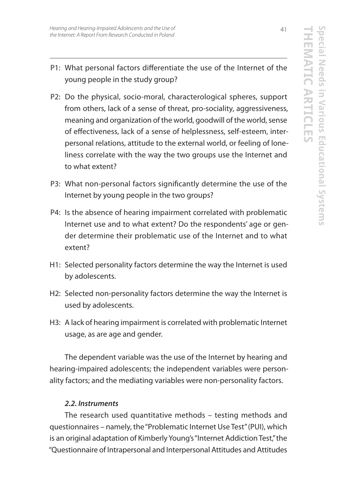- P1: What personal factors differentiate the use of the Internet of the young people in the study group?
- P2: Do the physical, socio-moral, characterological spheres, support from others, lack of a sense of threat, pro-sociality, aggressiveness, meaning and organization of the world, goodwill of the world, sense of effectiveness, lack of a sense of helplessness, self-esteem, interpersonal relations, attitude to the external world, or feeling of loneliness correlate with the way the two groups use the Internet and to what extent?
- P3: What non-personal factors significantly determine the use of the Internet by young people in the two groups?
- P4: Is the absence of hearing impairment correlated with problematic Internet use and to what extent? Do the respondents' age or gender determine their problematic use of the Internet and to what extent?
- H1: Selected personality factors determine the way the Internet is used by adolescents.
- H2: Selected non-personality factors determine the way the Internet is used by adolescents.
- H3: A lack of hearing impairment is correlated with problematic Internet usage, as are age and gender.

The dependent variable was the use of the Internet by hearing and hearing-impaired adolescents; the independent variables were personality factors; and the mediating variables were non-personality factors.

## *2.2. Instruments*

The research used quantitative methods – testing methods and questionnaires – namely, the "Problematic Internet Use Test" (PUI), which is an original adaptation of Kimberly Young's "Internet Addiction Test," the "Questionnaire of Intrapersonal and Interpersonal Attitudes and Attitudes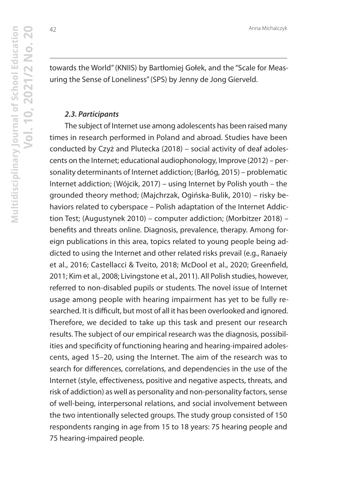towards the World" (KNIIS) by Bartłomiej Gołek, and the "Scale for Measuring the Sense of Loneliness" (SPS) by Jenny de Jong Gierveld.

### *2.3. Participants*

The subject of Internet use among adolescents has been raised many times in research performed in Poland and abroad. Studies have been conducted by Czyż and Plutecka (2018) – social activity of deaf adolescents on the Internet; educational audiophonology, Improve (2012) – personality determinants of Internet addiction; (Barłóg, 2015) – problematic Internet addiction; (Wójcik, 2017) – using Internet by Polish youth – the grounded theory method; (Majchrzak, Ogińska-Bulik, 2010) – risky behaviors related to cyberspace – Polish adaptation of the Internet Addiction Test; (Augustynek 2010) – computer addiction; (Morbitzer 2018) – benefits and threats online. Diagnosis, prevalence, therapy. Among foreign publications in this area, topics related to young people being addicted to using the Internet and other related risks prevail (e.g., Ranaeiy et al., 2016; Castellacci & Tveito, 2018; McDool et al., 2020; Greenfield, 2011; Kim et al., 2008; Livingstone et al., 2011). All Polish studies, however, referred to non-disabled pupils or students. The novel issue of Internet usage among people with hearing impairment has yet to be fully researched. It is difficult, but most of all it has been overlooked and ignored. Therefore, we decided to take up this task and present our research results. The subject of our empirical research was the diagnosis, possibilities and specificity of functioning hearing and hearing-impaired adolescents, aged 15–20, using the Internet. The aim of the research was to search for differences, correlations, and dependencies in the use of the Internet (style, effectiveness, positive and negative aspects, threats, and risk of addiction) as well as personality and non-personality factors, sense of well-being, interpersonal relations, and social involvement between the two intentionally selected groups. The study group consisted of 150 respondents ranging in age from 15 to 18 years: 75 hearing people and 75 hearing-impaired people.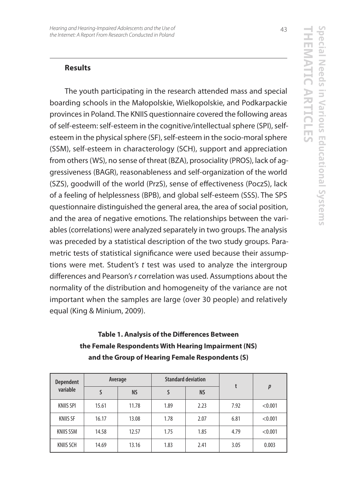## **Results**

The youth participating in the research attended mass and special boarding schools in the Małopolskie, Wielkopolskie, and Podkarpackie provinces in Poland. The KNIIS questionnaire covered the following areas of self-esteem: self-esteem in the cognitive/intellectual sphere (SPI), selfesteem in the physical sphere (SF), self-esteem in the socio-moral sphere (SSM), self-esteem in characterology (SCH), support and appreciation from others (WS), no sense of threat (BZA), prosociality (PROS), lack of aggressiveness (BAGR), reasonableness and self-organization of the world (SZS), goodwill of the world (PrzS), sense of effectiveness (PoczS), lack of a feeling of helplessness (BPB), and global self-esteem (SSS). The SPS questionnaire distinguished the general area, the area of social position, and the area of negative emotions. The relationships between the variables (correlations) were analyzed separately in two groups. The analysis was preceded by a statistical description of the two study groups. Parametric tests of statistical significance were used because their assumptions were met. Student's  $t$  test was used to analyze the intergroup differences and Pearson's r correlation was used. Assumptions about the normality of the distribution and homogeneity of the variance are not important when the samples are large (over 30 people) and relatively equal (King & Minium, 2009).

| <b>Dependent</b><br>variable | Average |           | <b>Standard deviation</b> |           | t    |                  |
|------------------------------|---------|-----------|---------------------------|-----------|------|------------------|
|                              |         | <b>NS</b> |                           | <b>NS</b> |      | $\boldsymbol{p}$ |
| <b>KNIIS SPI</b>             | 15.61   | 11.78     | 1.89                      | 2.23      | 7.92 | < 0.001          |
| <b>KNIIS SF</b>              | 16.17   | 13.08     | 1.78                      | 2.07      | 6.81 | < 0.001          |
| <b>KNIIS SSM</b>             | 14.58   | 12.57     | 1.75                      | 1.85      | 4.79 | < 0.001          |
| <b>KNIIS SCH</b>             | 14.69   | 13.16     | 1.83                      | 2.41      | 3.05 | 0.003            |

# **Table 1. Analysis of the Differences Between the Female Respondents With Hearing Impairment (NS) and the Group of Hearing Female Respondents (S)**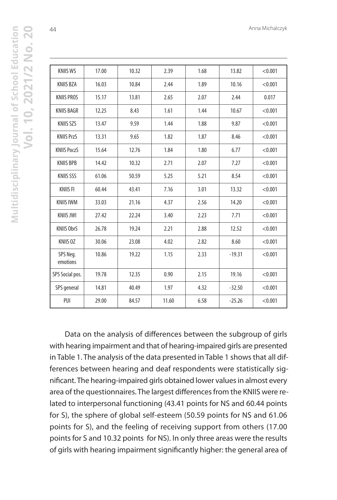| <b>KNIIS WS</b>      | 17.00 | 10.32 | 2.39  | 1.68 | 13.82    | < 0.001 |
|----------------------|-------|-------|-------|------|----------|---------|
| <b>KNIIS BZA</b>     | 16.03 | 10.84 | 2.44  | 1.89 | 10.16    | < 0.001 |
| <b>KNIIS PROS</b>    | 15.17 | 13.81 | 2.65  | 2.07 | 2.44     | 0.017   |
| <b>KNIIS BAGR</b>    | 12.25 | 8.43  | 1.61  | 1.44 | 10.67    | < 0.001 |
| <b>KNIIS SZS</b>     | 13.47 | 9.59  | 1.44  | 1.88 | 9.87     | < 0.001 |
| <b>KNIIS PrzS</b>    | 13.31 | 9.65  | 1.82  | 1.87 | 8.46     | < 0.001 |
| <b>KNIIS PoczS</b>   | 15.64 | 12.76 | 1.84  | 1.80 | 6.77     | < 0.001 |
| <b>KNIIS BPB</b>     | 14.42 | 10.32 | 2.71  | 2.07 | 7.27     | < 0.001 |
| <b>KNIIS SSS</b>     | 61.06 | 50.59 | 5.25  | 5.21 | 8.54     | < 0.001 |
| <b>KNIIS FI</b>      | 60.44 | 43.41 | 7.16  | 3.01 | 13.32    | < 0.001 |
| <b>KNIIS IWM</b>     | 33.03 | 21.16 | 4.37  | 2.56 | 14.20    | < 0.001 |
| <b>KNIIS JWI</b>     | 27.42 | 22.24 | 3.40  | 2.23 | 7.71     | < 0.001 |
| <b>KNIIS ObrS</b>    | 26.78 | 19.24 | 2.21  | 2.88 | 12.52    | < 0.001 |
| <b>KNIIS OZ</b>      | 30.06 | 23.08 | 4.02  | 2.82 | 8.60     | < 0.001 |
| SPS Neg.<br>emotions | 10.86 | 19.22 | 1.15  | 2.33 | $-19.31$ | < 0.001 |
| SPS Social pos.      | 19.78 | 12.35 | 0.90  | 2.15 | 19.16    | < 0.001 |
| SPS general          | 14.81 | 40.49 | 1.97  | 4.32 | $-32.50$ | < 0.001 |
| PUI                  | 29.00 | 84.57 | 11.60 | 6.58 | $-25.26$ | < 0.001 |

Data on the analysis of differences between the subgroup of girls with hearing impairment and that of hearing-impaired girls are presented in Table 1. The analysis of the data presented in Table 1 shows that all differences between hearing and deaf respondents were statistically significant. The hearing-impaired girls obtained lower values in almost every area of the questionnaires. The largest differences from the KNIIS were related to interpersonal functioning (43.41 points for NS and 60.44 points for S), the sphere of global self-esteem (50.59 points for NS and 61.06 points for S), and the feeling of receiving support from others (17.00 points for S and 10.32 points for NS). In only three areas were the results of girls with hearing impairment significantly higher: the general area of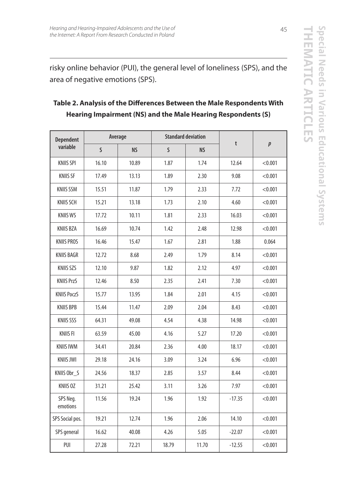risky online behavior (PUI), the general level of loneliness (SPS), and the area of negative emotions (SPS).

| <b>Dependent</b><br>variable | Average |           | <b>Standard deviation</b> |           |          |                  |
|------------------------------|---------|-----------|---------------------------|-----------|----------|------------------|
|                              | S       | <b>NS</b> | S                         | <b>NS</b> | t        | $\boldsymbol{p}$ |
| <b>KNIIS SPI</b>             | 16.10   | 10.89     | 1.87                      | 1.74      | 12.64    | < 0.001          |
| <b>KNIIS SF</b>              | 17.49   | 13.13     | 1.89                      | 2.30      | 9.08     | < 0.001          |
| <b>KNIIS SSM</b>             | 15.51   | 11.87     | 1.79                      | 2.33      | 7.72     | < 0.001          |
| <b>KNIIS SCH</b>             | 15.21   | 13.18     | 1.73                      | 2.10      | 4.60     | < 0.001          |
| <b>KNIIS WS</b>              | 17.72   | 10.11     | 1.81                      | 2.33      | 16.03    | < 0.001          |
| KNIIS BZA                    | 16.69   | 10.74     | 1.42                      | 2.48      | 12.98    | < 0.001          |
| <b>KNIIS PROS</b>            | 16.46   | 15.47     | 1.67                      | 2.81      | 1.88     | 0.064            |
| <b>KNIIS BAGR</b>            | 12.72   | 8.68      | 2.49                      | 1.79      | 8.14     | < 0.001          |
| <b>KNIIS SZS</b>             | 12.10   | 9.87      | 1.82                      | 2.12      | 4.97     | < 0.001          |
| <b>KNIIS PrzS</b>            | 12.46   | 8.50      | 2.35                      | 2.41      | 7.30     | < 0.001          |
| <b>KNIIS PoczS</b>           | 15.77   | 13.95     | 1.84                      | 2.01      | 4.15     | < 0.001          |
| <b>KNIIS BPB</b>             | 15.44   | 11.47     | 2.09                      | 2.04      | 8.43     | < 0.001          |
| <b>KNIIS SSS</b>             | 64.31   | 49.08     | 4.54                      | 4.38      | 14.98    | < 0.001          |
| <b>KNIIS FI</b>              | 63.59   | 45.00     | 4.16                      | 5.27      | 17.20    | < 0.001          |
| <b>KNIIS IWM</b>             | 34.41   | 20.84     | 2.36                      | 4.00      | 18.17    | < 0.001          |
| <b>KNIIS JWI</b>             | 29.18   | 24.16     | 3.09                      | 3.24      | 6.96     | < 0.001          |
| KNIIS Obr S                  | 24.56   | 18.37     | 2.85                      | 3.57      | 8.44     | < 0.001          |
| KNIIS 0Z                     | 31.21   | 25.42     | 3.11                      | 3.26      | 7.97     | < 0.001          |
| SPS Neg.<br>emotions         | 11.56   | 19.24     | 1.96                      | 1.92      | $-17.35$ | < 0.001          |
| SPS Social pos.              | 19.21   | 12.74     | 1.96                      | 2.06      | 14.10    | < 0.001          |
| SPS general                  | 16.62   | 40.08     | 4.26                      | 5.05      | $-22.07$ | < 0.001          |
| PUI                          | 27.28   | 72.21     | 18.79                     | 11.70     | $-12.55$ | < 0.001          |

# **Table 2. Analysis of the Differences Between the Male Respondents With Hearing Impairment (NS) and the Male Hearing Respondents (S)**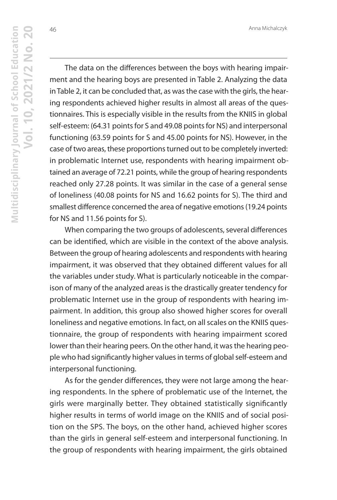46

The data on the differences between the boys with hearing impairment and the hearing boys are presented in Table 2. Analyzing the data in Table 2, it can be concluded that, as was the case with the girls, the hearing respondents achieved higher results in almost all areas of the questionnaires. This is especially visible in the results from the KNIIS in global self-esteem: (64.31 points for S and 49.08 points for NS) and interpersonal functioning (63.59 points for S and 45.00 points for NS). However, in the case of two areas, these proportions turned out to be completely inverted: in problematic Internet use, respondents with hearing impairment obtained an average of 72.21 points, while the group of hearing respondents reached only 27.28 points. It was similar in the case of a general sense of loneliness (40.08 points for NS and 16.62 points for S). The third and smallest difference concerned the area of negative emotions (19.24 points for NS and 11.56 points for S).

When comparing the two groups of adolescents, several differences can be identified, which are visible in the context of the above analysis. Between the group of hearing adolescents and respondents with hearing impairment, it was observed that they obtained different values for all the variables under study. What is particularly noticeable in the comparison of many of the analyzed areas is the drastically greater tendency for problematic Internet use in the group of respondents with hearing impairment. In addition, this group also showed higher scores for overall loneliness and negative emotions. In fact, on all scales on the KNIIS questionnaire, the group of respondents with hearing impairment scored lower than their hearing peers. On the other hand, it was the hearing people who had significantly higher values in terms of global self-esteem and interpersonal functioning.

As for the gender differences, they were not large among the hearing respondents. In the sphere of problematic use of the Internet, the girls were marginally better. They obtained statistically significantly higher results in terms of world image on the KNIIS and of social position on the SPS. The boys, on the other hand, achieved higher scores than the girls in general self-esteem and interpersonal functioning. In the group of respondents with hearing impairment, the girls obtained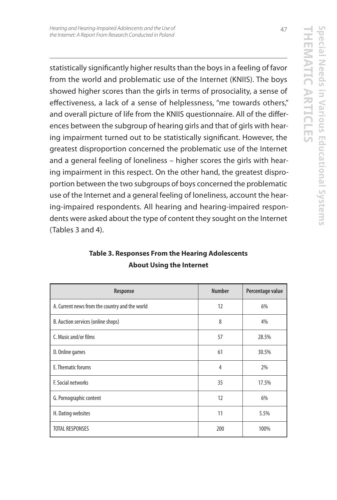statistically significantly higher results than the boys in a feeling of favor from the world and problematic use of the Internet (KNIIS). The boys showed higher scores than the girls in terms of prosociality, a sense of effectiveness, a lack of a sense of helplessness, "me towards others," and overall picture of life from the KNIIS questionnaire. All of the differences between the subgroup of hearing girls and that of girls with hearing impairment turned out to be statistically significant. However, the greatest disproportion concerned the problematic use of the Internet and a general feeling of loneliness – higher scores the girls with hearing impairment in this respect. On the other hand, the greatest disproportion between the two subgroups of boys concerned the problematic use of the Internet and a general feeling of loneliness, account the hearing-impaired respondents. All hearing and hearing-impaired respondents were asked about the type of content they sought on the Internet (Tables 3 and 4).

| Response                                       | <b>Number</b> | Percentage value |
|------------------------------------------------|---------------|------------------|
| A. Current news from the country and the world | 12            | 6%               |
| B. Auction services (online shops)             | 8             | 4%               |
| C. Music and/or films                          | 57            | 28.5%            |
| D. Online games                                | 61            | 30.5%            |
| E. Thematic forums                             | 4             | 2%               |
| F. Social networks                             | 35            | 17.5%            |
| G. Pornographic content                        | 12            | 6%               |
| H. Dating websites                             | 11            | 5.5%             |
| <b>TOTAL RESPONSES</b>                         | 200           | 100%             |

# **Table 3. Responses From the Hearing Adolescents About Using the Internet**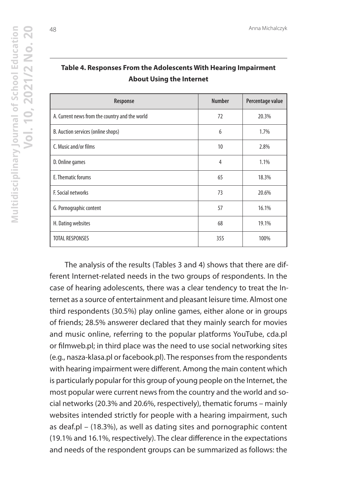| Response                                       | <b>Number</b> | Percentage value |
|------------------------------------------------|---------------|------------------|
| A. Current news from the country and the world | 72            | 20.3%            |
| B. Auction services (online shops)             | 6             | 1.7%             |
| C. Music and/or films                          | 10            | 2.8%             |
| D. Online games                                | 4             | 1.1%             |
| E. Thematic forums                             | 65            | 18.3%            |
| F. Social networks                             | 73            | 20.6%            |
| G. Pornographic content                        | 57            | 16.1%            |
| H. Dating websites                             | 68            | 19.1%            |
| <b>TOTAL RESPONSES</b>                         | 355           | 100%             |

## **Table 4. Responses From the Adolescents With Hearing Impairment About Using the Internet**

The analysis of the results (Tables 3 and 4) shows that there are different Internet-related needs in the two groups of respondents. In the case of hearing adolescents, there was a clear tendency to treat the Internet as a source of entertainment and pleasant leisure time. Almost one third respondents (30.5%) play online games, either alone or in groups of friends; 28.5% answerer declared that they mainly search for movies and music online, referring to the popular platforms YouTube, cda.pl or filmweb.pl; in third place was the need to use social networking sites (e.g., nasza-klasa.pl or facebook.pl). The responses from the respondents with hearing impairment were different. Among the main content which is particularly popular for this group of young people on the Internet, the most popular were current news from the country and the world and social networks (20.3% and 20.6%, respectively), thematic forums – mainly websites intended strictly for people with a hearing impairment, such as deaf.pl – (18.3%), as well as dating sites and pornographic content (19.1% and 16.1%, respectively). The clear difference in the expectations and needs of the respondent groups can be summarized as follows: the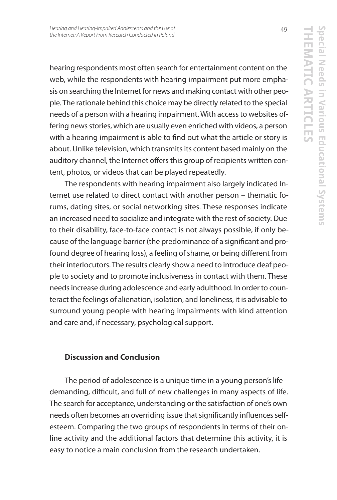hearing respondents most often search for entertainment content on the web, while the respondents with hearing impairment put more emphasis on searching the Internet for news and making contact with other people. The rationale behind this choice may be directly related to the special needs of a person with a hearing impairment. With access to websites offering news stories, which are usually even enriched with videos, a person with a hearing impairment is able to find out what the article or story is about. Unlike television, which transmits its content based mainly on the auditory channel, the Internet offers this group of recipients written content, photos, or videos that can be played repeatedly.

The respondents with hearing impairment also largely indicated Internet use related to direct contact with another person – thematic forums, dating sites, or social networking sites. These responses indicate an increased need to socialize and integrate with the rest of society. Due to their disability, face-to-face contact is not always possible, if only because of the language barrier (the predominance of a significant and profound degree of hearing loss), a feeling of shame, or being different from their interlocutors. The results clearly show a need to introduce deaf people to society and to promote inclusiveness in contact with them. These needs increase during adolescence and early adulthood. In order to counteract the feelings of alienation, isolation, and loneliness, it is advisable to surround young people with hearing impairments with kind attention and care and, if necessary, psychological support.

## **Discussion and Conclusion**

The period of adolescence is a unique time in a young person's life – demanding, difficult, and full of new challenges in many aspects of life. The search for acceptance, understanding or the satisfaction of one's own needs often becomes an overriding issue that significantly influences selfesteem. Comparing the two groups of respondents in terms of their online activity and the additional factors that determine this activity, it is easy to notice a main conclusion from the research undertaken.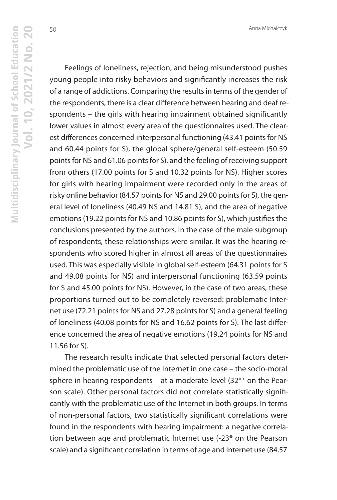50

Feelings of loneliness, rejection, and being misunderstood pushes young people into risky behaviors and significantly increases the risk of a range of addictions. Comparing the results in terms of the gender of the respondents, there is a clear difference between hearing and deaf respondents – the girls with hearing impairment obtained significantly lower values in almost every area of the questionnaires used. The clearest differences concerned interpersonal functioning (43.41 points for NS and 60.44 points for S), the global sphere/general self-esteem (50.59 points for NS and 61.06 points for S), and the feeling of receiving support from others (17.00 points for S and 10.32 points for NS). Higher scores for girls with hearing impairment were recorded only in the areas of risky online behavior (84.57 points for NS and 29.00 points for S), the general level of loneliness (40.49 NS and 14.81 S), and the area of negative emotions (19.22 points for NS and 10.86 points for S), which justifies the conclusions presented by the authors. In the case of the male subgroup of respondents, these relationships were similar. It was the hearing respondents who scored higher in almost all areas of the questionnaires used. This was especially visible in global self-esteem (64.31 points for S and 49.08 points for NS) and interpersonal functioning (63.59 points for S and 45.00 points for NS). However, in the case of two areas, these proportions turned out to be completely reversed: problematic Internet use (72.21 points for NS and 27.28 points for S) and a general feeling of loneliness (40.08 points for NS and 16.62 points for S). The last difference concerned the area of negative emotions (19.24 points for NS and 11.56 for S).

The research results indicate that selected personal factors determined the problematic use of the Internet in one case – the socio-moral sphere in hearing respondents – at a moderate level  $(32^{**})$  on the Pearson scale). Other personal factors did not correlate statistically significantly with the problematic use of the Internet in both groups. In terms of non-personal factors, two statistically significant correlations were found in the respondents with hearing impairment: a negative correlation between age and problematic Internet use (-23\* on the Pearson scale) and a significant correlation in terms of age and Internet use (84.57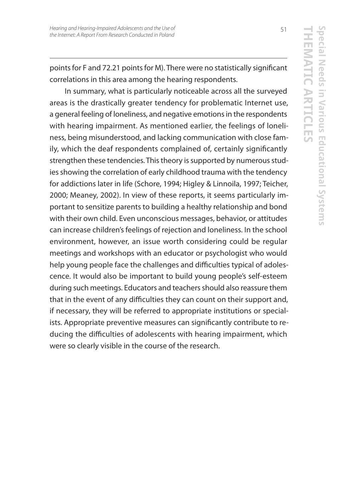points for F and 72.21 points for M). There were no statistically significant correlations in this area among the hearing respondents.

In summary, what is particularly noticeable across all the surveyed areas is the drastically greater tendency for problematic Internet use, a general feeling of loneliness, and negative emotions in the respondents with hearing impairment. As mentioned earlier, the feelings of loneliness, being misunderstood, and lacking communication with close family, which the deaf respondents complained of, certainly significantly strengthen these tendencies. This theory is supported by numerous studies showing the correlation of early childhood trauma with the tendency for addictions later in life (Schore, 1994; Higley & Linnoila, 1997; Teicher, 2000; Meaney, 2002). In view of these reports, it seems particularly important to sensitize parents to building a healthy relationship and bond with their own child. Even unconscious messages, behavior, or attitudes can increase children's feelings of rejection and loneliness. In the school environment, however, an issue worth considering could be regular meetings and workshops with an educator or psychologist who would help young people face the challenges and difficulties typical of adolescence. It would also be important to build young people's self-esteem during such meetings. Educators and teachers should also reassure them that in the event of any difficulties they can count on their support and, if necessary, they will be referred to appropriate institutions or specialists. Appropriate preventive measures can significantly contribute to reducing the difficulties of adolescents with hearing impairment, which were so clearly visible in the course of the research.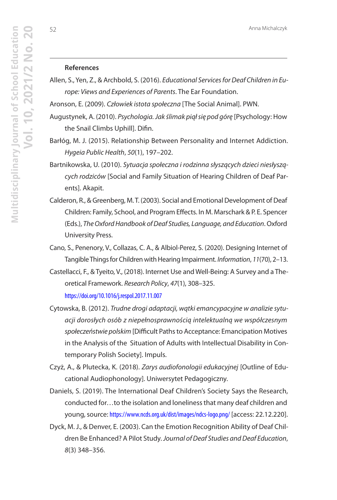#### **References**

- Allen, S., Yen, Z., & Archbold, S. (2016). Educational Services for Deaf Children in Europe: Views and Experiences of Parents. The Ear Foundation.
- Aronson, E. (2009). Człowiek istota społeczna [The Social Animal]. PWN.
- Augustynek, A. (2010). Psychologia. Jak ślimak piął się pod górę [Psychology: How the Snail Climbs Uphill]. Difin.
- Barłóg, M. J. (2015). Relationship Between Personality and Internet Addiction. Hygeia Public Health, 50(1), 197–202.
- Bartnikowska, U. (2010). Sytuacja społeczna i rodzinna słyszących dzieci niesłyszących rodziców [Social and Family Situation of Hearing Children of Deaf Parents]. Akapit.
- Calderon, R., & Greenberg, M. T. (2003). Social and Emotional Development of Deaf Children: Family, School, and Program Effects. In M. Marschark & P. E. Spencer (Eds.), The Oxford Handbook of Deaf Studies, Language, and Education. Oxford University Press.
- Cano, S., Penenory, V., Collazas, C. A., & Albiol-Perez, S. (2020). Designing Internet of Tangible Things for Children with Hearing Impairment. Information, 11(70), 2-13.
- Castellacci, F., & Tyeito, V., (2018). Internet Use and Well-Being: A Survey and a Theoretical Framework. Research Policy, 47(1), 308–325. https://doi.org/10.1016/j.respol.2017.11.007
- Cytowska, B. (2012). Trudne drogi adaptacji, wątki emancypacyjne w analizie sytuacji dorosłych osób z niepełnosprawnością intelektualną we współczesnym społeczeństwie polskim [Difficult Paths to Acceptance: Emancipation Motives in the Analysis of the Situation of Adults with Intellectual Disability in Contemporary Polish Society]. Impuls.
- Czyż, A., & Plutecka, K. (2018). Zarys audiofonologii edukacyjnej [Outline of Educational Audiophonology]. Uniwersytet Pedagogiczny.
- Daniels, S. (2019). The International Deaf Children's Society Says the Research, conducted for…to the isolation and loneliness that many deaf children and young, source: https://www.ncds.org.uk/dist/images/ndcs-logo.png/ [access: 22.12.220].
- Dyck, M. J., & Denver, E. (2003). Can the Emotion Recognition Ability of Deaf Children Be Enhanced? A Pilot Study. Journal of Deaf Studies and Deaf Education, 8(3) 348–356.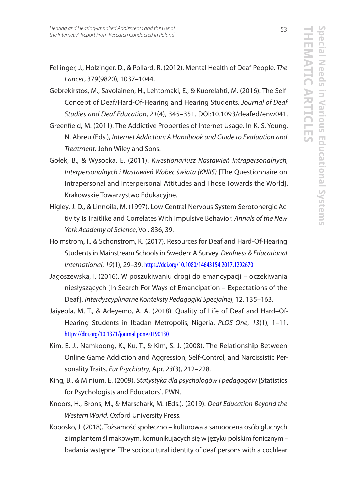- Fellinger, J., Holzinger, D., & Pollard, R. (2012). Mental Health of Deaf People. The Lancet, 379(9820), 1037–1044.
- Gebrekirstos, M., Savolainen, H., Lehtomaki, E., & Kuorelahti, M. (2016). The Self-Concept of Deaf/Hard-Of-Hearing and Hearing Students. Journal of Deaf Studies and Deaf Education, 21(4), 345–351. DOI:10.1093/deafed/enw041.
- Greenfield, M. (2011). The Addictive Properties of Internet Usage. In K. S. Young, N. Abreu (Eds.), Internet Addiction: A Handbook and Guide to Evaluation and Treatment. John Wiley and Sons.
- Gołek, B., & Wysocka, E. (2011). Kwestionariusz Nastawień Intrapersonalnych, Interpersonalnych i Nastawień Wobec świata (KNIIS) [The Questionnaire on Intrapersonal and Interpersonal Attitudes and Those Towards the World]. Krakowskie Towarzystwo Edukacyjne.
- Higley, J. D., & Linnoila, M. (1997). Low Central Nervous System Serotonergic Activity Is Traitlike and Correlates With Impulsive Behavior. Annals of the New York Academy of Science, Vol. 836, 39.
- Holmstrom, I., & Schonstrom, K. (2017). Resources for Deaf and Hard-Of-Hearing Students in Mainstream Schools in Sweden: A Survey. Deafness & Educational International, 19(1), 29–39. https://doi.org/10.1080/14643154.2017.1292670
- Jagoszewska, I. (2016). W poszukiwaniu drogi do emancypacji oczekiwania niesłyszących [In Search For Ways of Emancipation – Expectations of the Deaf]. Interdyscyplinarne Konteksty Pedagogiki Specjalnej, 12, 135–163.
- Jaiyeola, M. T., & Adeyemo, A. A. (2018). Quality of Life of Deaf and Hard–Of-Hearing Students in Ibadan Metropolis, Nigeria. PLOS One, 13(1), 1-11. https://doi.org/10.1371/journal.pone.0190130
- Kim, E. J., Namkoong, K., Ku, T., & Kim, S. J. (2008). The Relationship Between Online Game Addiction and Aggression, Self-Control, and Narcissistic Personality Traits. Eur Psychiatry, Apr. 23(3), 212-228.
- King, B., & Minium, E. (2009). Statystyka dla psychologów i pedagogów [Statistics for Psychologists and Educators]. PWN.
- Knoors, H., Brons, M., & Marschark, M. (Eds.). (2019). Deaf Education Beyond the Western World. Oxford University Press.
- Kobosko, J. (2018). Tożsamość społeczno kulturowa a samoocena osób głuchych z implantem ślimakowym, komunikujących się w języku polskim fonicznym – badania wstępne [The sociocultural identity of deaf persons with a cochlear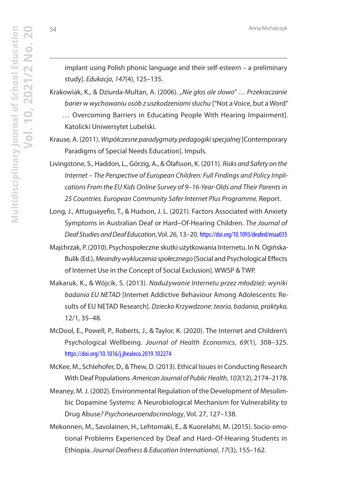implant using Polish phonic language and their self-esteem – a preliminary study]. Edukacja, 147(4), 125–135.

Krakowiak, K., & Dziurda-Multan, A. (2006). "Nie głos ale słowo" ... Przekraczanie barier w wychowaniu osób z uszkodzeniami słuchu ["Not a Voice, but a Word" … Overcoming Barriers in Educating People With Hearing Impairment].

Katolicki Uniwersytet Lubelski.

Krause, A. (2011). Współczesne paradygmaty pedagogiki specjalnej [Contemporary Paradigms of Special Needs Education]. Impuls.

Livingstone, S., Haddon, L., Görzig, A., & Ólafsson, K. (2011). Risks and Safety on the Internet – The Perspective of European Children: Full Findings and Policy Implications From the EU Kids Online Survey of 9–16-Year-Olds and Their Parents in 25 Countries. European Community Safer Internet Plus Programme. Report.

Long, J., Attuguayefio, T., & Hudson, J. L. (2021). Factors Associated with Anxiety Symptoms in Australian Deaf or Hard–Of-Hearing Children. The Journal of Deaf Studies and Deaf Education, Vol. 26, 13–20. https://doi.org/10.1093/deafed/enaa035

Majchrzak, P. (2010). Psychospołeczne skutki użytkowania Internetu. In N. Ogińska-Bulik (Ed.), Meandry wykluczenia społecznego [Social and Psychological Effects of Internet Use in the Concept of Social Exclusion]. WWSP & TWP.

Makaruk, K., & Wójcik, S. (2013). Nadużywanie Internetu przez młodzież: wyniki badania EU NETAD [Internet Addictive Behaviour Among Adolescents: Results of EU NETAD Research]. Dziecko Krzywdzone: teoria, badania, praktyka. 12/1, 35–48.

McDool, E., Powell, P., Roberts, J., & Taylor, K. (2020). The Internet and Children's Psychological Wellbeing. Journal of Health Economics, 69(1), 308–325. https://doi.org/10.1016/j.jhealeco.2019.102274

McKee, M., Schlehofer, D., & Thew, D. (2013). Ethical Issues in Conducting Research With Deaf Populations. American Journal of Public Health, 103(12), 2174–2178.

Meaney, M. J. (2002). Environmental Regulation of the Development of Mesolimbic Dopamine Systems: A Neurobiological Mechanism for Vulnerability to Drug Abuse? Psychoneuroendocrinology, Vol. 27, 127–138.

Mekonnen, M., Savolainen, H., Lehtomaki, E., & Kuorelahti, M. (2015). Socio-emotional Problems Experienced by Deaf and Hard–Of-Hearing Students in Ethiopia. Journal Deafness & Education International, 17(3), 155–162.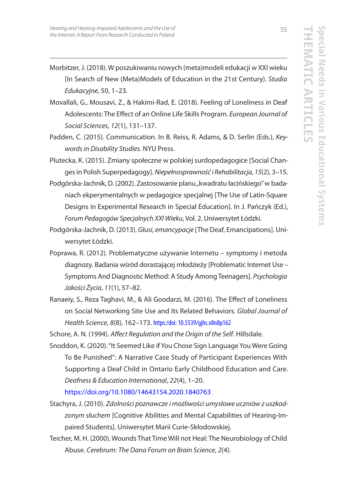- Morbitzer, J. (2018). W poszukiwaniu nowych (meta)modeli edukacji w XXI wieku [In Search of New (Meta)Models of Education in the 21st Century). Studia Edukacyjne, 50, 1–23.
- Movallali, G., Mousavi, Z., & Hakimi-Rad, E. (2018). Feeling of Loneliness in Deaf Adolescents: The Effect of an Online Life Skills Program. European Journal of Social Sciences, 12(1), 131–137.
- Padden, C. (2015). Communication. In B. Reiss, R. Adams, & D. Serlin (Eds.), Keywords in Disability Studies. NYU Press.
- Plutecka, K. (2015). Zmiany społeczne w polskiej surdopedagogice [Social Changes in Polish Superpedagogy]. Niepełnosprawność i Rehabilitacja, 15(2), 3–15.
- Podgórska-Jachnik, D. (2002). Zastosowanie planu "kwadratu łacińskiego" w badaniach ekperymentalnych w pedagogice specjalnej [The Use of Latin-Square Designs in Experimental Research in Special Education]. In J. Pańczyk (Ed.), Forum Pedagogów Specjalnych XXI Wieku, Vol. 2. Uniwersytet Łódzki.
- Podgórska-Jachnik, D. (2013). Głusi, emancypacje [The Deaf, Emancipations]. Uniwersytet Łódzki.
- Poprawa, R. (2012). Problematyczne używanie Internetu symptomy i metoda diagnozy. Badania wśród dorastającej młodzieży [Problematic Internet Use – Symptoms And Diagnostic Method: A Study Among Teenagers]. Psychologia Jakości Życia, 11(1), 57–82.
- Ranaeiy, S., Reza Taghavi, M., & Ali Goodarzi, M. (2016). The Effect of Loneliness on Social Networking Site Use and Its Related Behaviors. Global Journal of Health Science, 8(8), 162–173. https:/doi: 10.5539/gjhs.v8n8p162

Schore, A. N. (1994). Affect Regulation and the Origin of the Self. Hillsdale.

Snoddon, K. (2020). "It Seemed Like if You Chose Sign Language You Were Going To Be Punished'': A Narrative Case Study of Participant Experiences With Supporting a Deaf Child in Ontario Early Childhood Education and Care. Deafness & Education International, 22(4), 1–20.

https://doi.org/10.1080/14643154.2020.1840763

- Stachyra, J. (2010). Zdolności poznawcze i możliwości umysłowe uczniów z uszkodzonym słuchem [Cognitive Abilities and Mental Capabilities of Hearing-Impaired Students]. Uniwersytet Marii Curie-Skłodowskiej.
- Teicher, M. H. (2000). Wounds That Time Will not Heal: The Neurobiology of Child Abuse. Cerebrum: The Dana Forum on Brain Science, 2(4).